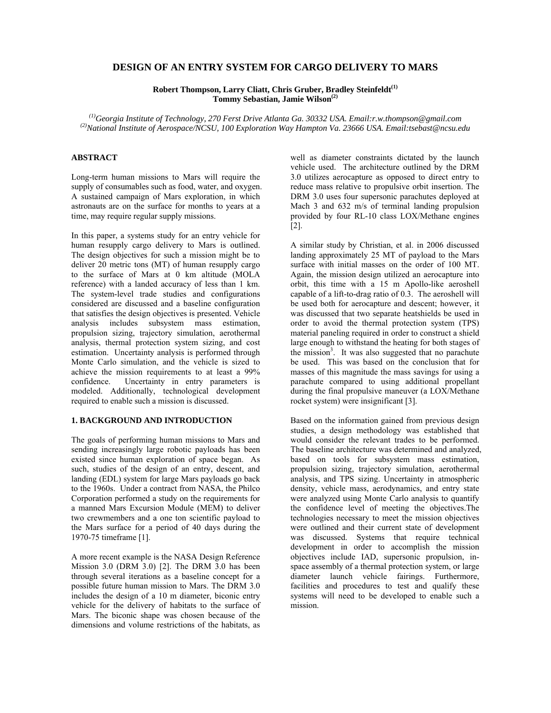## **DESIGN OF AN ENTRY SYSTEM FOR CARGO DELIVERY TO MARS**

**Robert Thompson, Larry Cliatt, Chris Gruber, Bradley Steinfeldt(1) Tommy Sebastian, Jamie Wilson(2)**

*(1)Georgia Institute of Technology, 270 Ferst Drive Atlanta Ga. 30332 USA. Email:r.w.thompson@gmail.com (2)National Institute of Aerospace/NCSU, 100 Exploration Way Hampton Va. 23666 USA. Email:tsebast@ncsu.edu* 

## **ABSTRACT**

Long-term human missions to Mars will require the supply of consumables such as food, water, and oxygen. A sustained campaign of Mars exploration, in which astronauts are on the surface for months to years at a time, may require regular supply missions.

In this paper, a systems study for an entry vehicle for human resupply cargo delivery to Mars is outlined. The design objectives for such a mission might be to deliver 20 metric tons (MT) of human resupply cargo to the surface of Mars at 0 km altitude (MOLA reference) with a landed accuracy of less than 1 km. The system-level trade studies and configurations considered are discussed and a baseline configuration that satisfies the design objectives is presented. Vehicle analysis includes subsystem mass estimation, propulsion sizing, trajectory simulation, aerothermal analysis, thermal protection system sizing, and cost estimation. Uncertainty analysis is performed through Monte Carlo simulation, and the vehicle is sized to achieve the mission requirements to at least a 99% confidence. Uncertainty in entry parameters is modeled. Additionally, technological development required to enable such a mission is discussed.

## **1. BACKGROUND AND INTRODUCTION**

The goals of performing human missions to Mars and sending increasingly large robotic payloads has been existed since human exploration of space began. As such, studies of the design of an entry, descent, and landing (EDL) system for large Mars payloads go back to the 1960s. Under a contract from NASA, the Philco Corporation performed a study on the requirements for a manned Mars Excursion Module (MEM) to deliver two crewmembers and a one ton scientific payload to the Mars surface for a period of 40 days during the 1970-75 timeframe [1].

A more recent example is the NASA Design Reference Mission 3.0 (DRM 3.0) [2]. The DRM 3.0 has been through several iterations as a baseline concept for a possible future human mission to Mars. The DRM 3.0 includes the design of a 10 m diameter, biconic entry vehicle for the delivery of habitats to the surface of Mars. The biconic shape was chosen because of the dimensions and volume restrictions of the habitats, as well as diameter constraints dictated by the launch vehicle used. The architecture outlined by the DRM 3.0 utilizes aerocapture as opposed to direct entry to reduce mass relative to propulsive orbit insertion. The DRM 3.0 uses four supersonic parachutes deployed at Mach 3 and 632 m/s of terminal landing propulsion provided by four RL-10 class LOX/Methane engines [2].

A similar study by Christian, et al. in 2006 discussed landing approximately 25 MT of payload to the Mars surface with initial masses on the order of 100 MT. Again, the mission design utilized an aerocapture into orbit, this time with a 15 m Apollo-like aeroshell capable of a lift-to-drag ratio of 0.3. The aeroshell will be used both for aerocapture and descent; however, it was discussed that two separate heatshields be used in order to avoid the thermal protection system (TPS) material paneling required in order to construct a shield large enough to withstand the heating for both stages of the mission<sup>3</sup>. It was also suggested that no parachute be used. This was based on the conclusion that for masses of this magnitude the mass savings for using a parachute compared to using additional propellant during the final propulsive maneuver (a LOX/Methane rocket system) were insignificant [3].

Based on the information gained from previous design studies, a design methodology was established that would consider the relevant trades to be performed. The baseline architecture was determined and analyzed, based on tools for subsystem mass estimation, propulsion sizing, trajectory simulation, aerothermal analysis, and TPS sizing. Uncertainty in atmospheric density, vehicle mass, aerodynamics, and entry state were analyzed using Monte Carlo analysis to quantify the confidence level of meeting the objectives.The technologies necessary to meet the mission objectives were outlined and their current state of development was discussed. Systems that require technical development in order to accomplish the mission objectives include IAD, supersonic propulsion, inspace assembly of a thermal protection system, or large diameter launch vehicle fairings. Furthermore, facilities and procedures to test and qualify these systems will need to be developed to enable such a mission.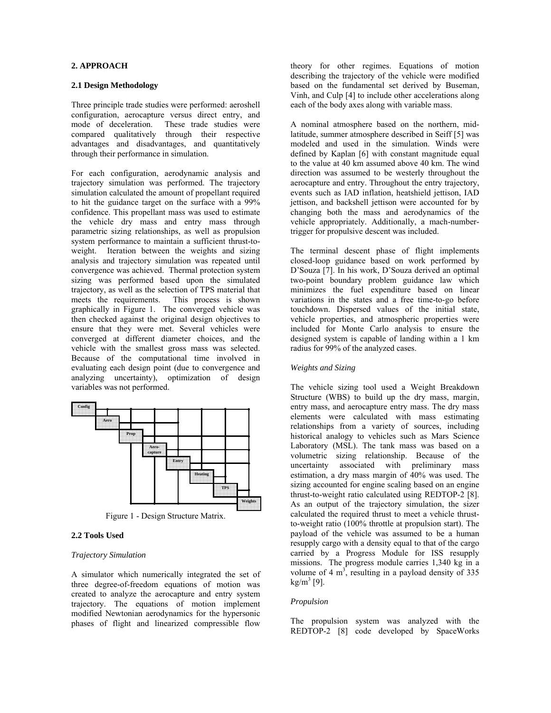## **2. APPROACH**

### **2.1 Design Methodology**

Three principle trade studies were performed: aeroshell configuration, aerocapture versus direct entry, and mode of deceleration. These trade studies were compared qualitatively through their respective advantages and disadvantages, and quantitatively through their performance in simulation.

For each configuration, aerodynamic analysis and trajectory simulation was performed. The trajectory simulation calculated the amount of propellant required to hit the guidance target on the surface with a 99% confidence. This propellant mass was used to estimate the vehicle dry mass and entry mass through parametric sizing relationships, as well as propulsion system performance to maintain a sufficient thrust-toweight. Iteration between the weights and sizing analysis and trajectory simulation was repeated until convergence was achieved. Thermal protection system sizing was performed based upon the simulated trajectory, as well as the selection of TPS material that meets the requirements. This process is shown graphically in Figure 1. The converged vehicle was then checked against the original design objectives to ensure that they were met. Several vehicles were converged at different diameter choices, and the vehicle with the smallest gross mass was selected. Because of the computational time involved in evaluating each design point (due to convergence and analyzing uncertainty), optimization of design variables was not performed.



Figure 1 - Design Structure Matrix.

# **2.2 Tools Used**

### *Trajectory Simulation*

A simulator which numerically integrated the set of three degree-of-freedom equations of motion was created to analyze the aerocapture and entry system trajectory. The equations of motion implement modified Newtonian aerodynamics for the hypersonic phases of flight and linearized compressible flow

theory for other regimes. Equations of motion describing the trajectory of the vehicle were modified based on the fundamental set derived by Buseman, Vinh, and Culp [4] to include other accelerations along each of the body axes along with variable mass.

A nominal atmosphere based on the northern, midlatitude, summer atmosphere described in Seiff [5] was modeled and used in the simulation. Winds were defined by Kaplan [6] with constant magnitude equal to the value at 40 km assumed above 40 km. The wind direction was assumed to be westerly throughout the aerocapture and entry. Throughout the entry trajectory, events such as IAD inflation, heatshield jettison, IAD jettison, and backshell jettison were accounted for by changing both the mass and aerodynamics of the vehicle appropriately. Additionally, a mach-numbertrigger for propulsive descent was included.

The terminal descent phase of flight implements closed-loop guidance based on work performed by D'Souza [7]. In his work, D'Souza derived an optimal two-point boundary problem guidance law which minimizes the fuel expenditure based on linear variations in the states and a free time-to-go before touchdown. Dispersed values of the initial state, vehicle properties, and atmospheric properties were included for Monte Carlo analysis to ensure the designed system is capable of landing within a 1 km radius for 99% of the analyzed cases.

## *Weights and Sizing*

The vehicle sizing tool used a Weight Breakdown Structure (WBS) to build up the dry mass, margin, entry mass, and aerocapture entry mass. The dry mass elements were calculated with mass estimating relationships from a variety of sources, including historical analogy to vehicles such as Mars Science Laboratory (MSL). The tank mass was based on a volumetric sizing relationship. Because of the uncertainty associated with preliminary mass estimation, a dry mass margin of 40% was used. The sizing accounted for engine scaling based on an engine thrust-to-weight ratio calculated using REDTOP-2 [8]. As an output of the trajectory simulation, the sizer calculated the required thrust to meet a vehicle thrustto-weight ratio (100% throttle at propulsion start). The payload of the vehicle was assumed to be a human resupply cargo with a density equal to that of the cargo carried by a Progress Module for ISS resupply missions. The progress module carries 1,340 kg in a volume of 4  $m<sup>3</sup>$ , resulting in a payload density of 335  $kg/m<sup>3</sup>$  [9].

#### *Propulsion*

The propulsion system was analyzed with the REDTOP-2 [8] code developed by SpaceWorks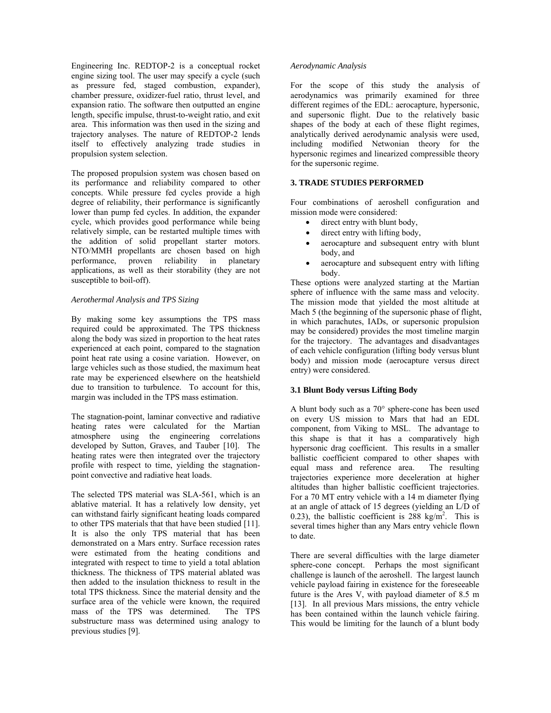Engineering Inc. REDTOP-2 is a conceptual rocket engine sizing tool. The user may specify a cycle (such as pressure fed, staged combustion, expander), chamber pressure, oxidizer-fuel ratio, thrust level, and expansion ratio. The software then outputted an engine length, specific impulse, thrust-to-weight ratio, and exit area. This information was then used in the sizing and trajectory analyses. The nature of REDTOP-2 lends itself to effectively analyzing trade studies in propulsion system selection.

The proposed propulsion system was chosen based on its performance and reliability compared to other concepts. While pressure fed cycles provide a high degree of reliability, their performance is significantly lower than pump fed cycles. In addition, the expander cycle, which provides good performance while being relatively simple, can be restarted multiple times with the addition of solid propellant starter motors. NTO/MMH propellants are chosen based on high performance, proven reliability in planetary applications, as well as their storability (they are not susceptible to boil-off).

## *Aerothermal Analysis and TPS Sizing*

By making some key assumptions the TPS mass required could be approximated. The TPS thickness along the body was sized in proportion to the heat rates experienced at each point, compared to the stagnation point heat rate using a cosine variation. However, on large vehicles such as those studied, the maximum heat rate may be experienced elsewhere on the heatshield due to transition to turbulence. To account for this, margin was included in the TPS mass estimation.

The stagnation-point, laminar convective and radiative heating rates were calculated for the Martian atmosphere using the engineering correlations developed by Sutton, Graves, and Tauber [10]. The heating rates were then integrated over the trajectory profile with respect to time, yielding the stagnationpoint convective and radiative heat loads.

The selected TPS material was SLA-561, which is an ablative material. It has a relatively low density, yet can withstand fairly significant heating loads compared to other TPS materials that that have been studied [11]. It is also the only TPS material that has been demonstrated on a Mars entry. Surface recession rates were estimated from the heating conditions and integrated with respect to time to yield a total ablation thickness. The thickness of TPS material ablated was then added to the insulation thickness to result in the total TPS thickness. Since the material density and the surface area of the vehicle were known, the required mass of the TPS was determined. The TPS substructure mass was determined using analogy to previous studies [9].

### *Aerodynamic Analysis*

For the scope of this study the analysis of aerodynamics was primarily examined for three different regimes of the EDL: aerocapture, hypersonic, and supersonic flight. Due to the relatively basic shapes of the body at each of these flight regimes, analytically derived aerodynamic analysis were used, including modified Netwonian theory for the hypersonic regimes and linearized compressible theory for the supersonic regime.

## **3. TRADE STUDIES PERFORMED**

Four combinations of aeroshell configuration and mission mode were considered:

- direct entry with blunt body,
- direct entry with lifting body,
- aerocapture and subsequent entry with blunt body, and
- aerocapture and subsequent entry with lifting body.

These options were analyzed starting at the Martian sphere of influence with the same mass and velocity. The mission mode that yielded the most altitude at Mach 5 (the beginning of the supersonic phase of flight, in which parachutes, IADs, or supersonic propulsion may be considered) provides the most timeline margin for the trajectory. The advantages and disadvantages of each vehicle configuration (lifting body versus blunt body) and mission mode (aerocapture versus direct entry) were considered.

## **3.1 Blunt Body versus Lifting Body**

A blunt body such as a 70° sphere-cone has been used on every US mission to Mars that had an EDL component, from Viking to MSL. The advantage to this shape is that it has a comparatively high hypersonic drag coefficient. This results in a smaller ballistic coefficient compared to other shapes with equal mass and reference area. The resulting trajectories experience more deceleration at higher altitudes than higher ballistic coefficient trajectories. For a 70 MT entry vehicle with a 14 m diameter flying at an angle of attack of 15 degrees (yielding an L/D of 0.23), the ballistic coefficient is  $288 \text{ kg/m}^2$ . This is several times higher than any Mars entry vehicle flown to date.

There are several difficulties with the large diameter sphere-cone concept. Perhaps the most significant challenge is launch of the aeroshell. The largest launch vehicle payload fairing in existence for the foreseeable future is the Ares V, with payload diameter of 8.5 m [13]. In all previous Mars missions, the entry vehicle has been contained within the launch vehicle fairing. This would be limiting for the launch of a blunt body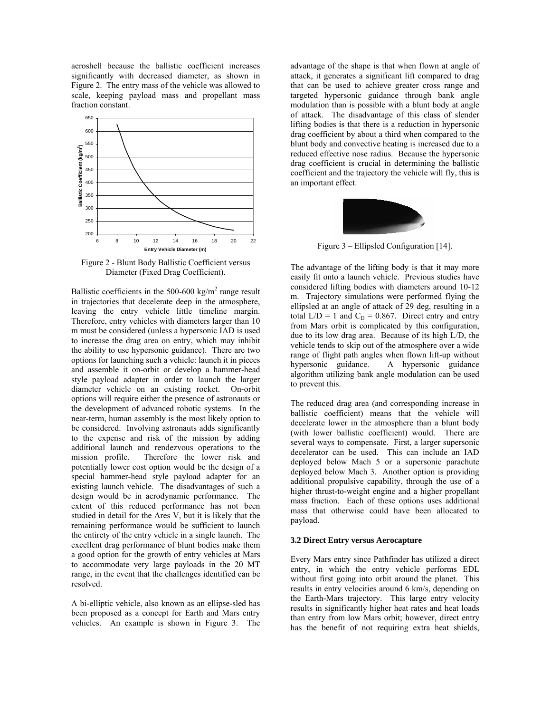aeroshell because the ballistic coefficient increases significantly with decreased diameter, as shown in Figure 2. The entry mass of the vehicle was allowed to scale, keeping payload mass and propellant mass fraction constant.



Figure 2 - Blunt Body Ballistic Coefficient versus Diameter (Fixed Drag Coefficient).

Ballistic coefficients in the 500-600 kg/m<sup>2</sup> range result in trajectories that decelerate deep in the atmosphere, leaving the entry vehicle little timeline margin. Therefore, entry vehicles with diameters larger than 10 m must be considered (unless a hypersonic IAD is used to increase the drag area on entry, which may inhibit the ability to use hypersonic guidance). There are two options for launching such a vehicle: launch it in pieces and assemble it on-orbit or develop a hammer-head style payload adapter in order to launch the larger diameter vehicle on an existing rocket. On-orbit options will require either the presence of astronauts or the development of advanced robotic systems. In the near-term, human assembly is the most likely option to be considered. Involving astronauts adds significantly to the expense and risk of the mission by adding additional launch and rendezvous operations to the mission profile. Therefore the lower risk and potentially lower cost option would be the design of a special hammer-head style payload adapter for an existing launch vehicle. The disadvantages of such a design would be in aerodynamic performance. The extent of this reduced performance has not been studied in detail for the Ares V, but it is likely that the remaining performance would be sufficient to launch the entirety of the entry vehicle in a single launch. The excellent drag performance of blunt bodies make them a good option for the growth of entry vehicles at Mars to accommodate very large payloads in the 20 MT range, in the event that the challenges identified can be resolved.

A bi-elliptic vehicle, also known as an ellipse-sled has been proposed as a concept for Earth and Mars entry vehicles. An example is shown in Figure 3. The advantage of the shape is that when flown at angle of attack, it generates a significant lift compared to drag that can be used to achieve greater cross range and targeted hypersonic guidance through bank angle modulation than is possible with a blunt body at angle of attack. The disadvantage of this class of slender lifting bodies is that there is a reduction in hypersonic drag coefficient by about a third when compared to the blunt body and convective heating is increased due to a reduced effective nose radius. Because the hypersonic drag coefficient is crucial in determining the ballistic coefficient and the trajectory the vehicle will fly, this is an important effect.



Figure 3 – Ellipsled Configuration [14].

The advantage of the lifting body is that it may more easily fit onto a launch vehicle. Previous studies have considered lifting bodies with diameters around 10-12 m. Trajectory simulations were performed flying the ellipsled at an angle of attack of 29 deg, resulting in a total  $L/D = 1$  and  $C_D = 0.867$ . Direct entry and entry from Mars orbit is complicated by this configuration, due to its low drag area. Because of its high L/D, the vehicle tends to skip out of the atmosphere over a wide range of flight path angles when flown lift-up without hypersonic guidance. A hypersonic guidance algorithm utilizing bank angle modulation can be used to prevent this.

The reduced drag area (and corresponding increase in ballistic coefficient) means that the vehicle will decelerate lower in the atmosphere than a blunt body (with lower ballistic coefficient) would. There are several ways to compensate. First, a larger supersonic decelerator can be used. This can include an IAD deployed below Mach 5 or a supersonic parachute deployed below Mach 3. Another option is providing additional propulsive capability, through the use of a higher thrust-to-weight engine and a higher propellant mass fraction. Each of these options uses additional mass that otherwise could have been allocated to payload.

## **3.2 Direct Entry versus Aerocapture**

Every Mars entry since Pathfinder has utilized a direct entry, in which the entry vehicle performs EDL without first going into orbit around the planet. This results in entry velocities around 6 km/s, depending on the Earth-Mars trajectory. This large entry velocity results in significantly higher heat rates and heat loads than entry from low Mars orbit; however, direct entry has the benefit of not requiring extra heat shields,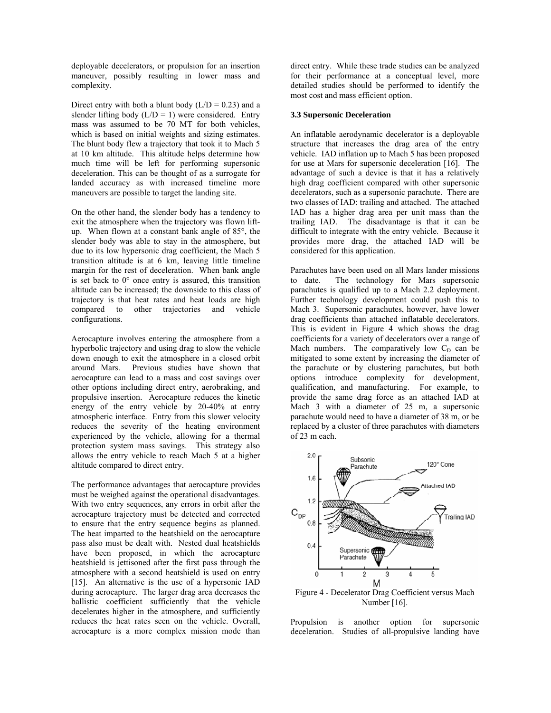deployable decelerators, or propulsion for an insertion maneuver, possibly resulting in lower mass and complexity.

Direct entry with both a blunt body  $(L/D = 0.23)$  and a slender lifting body  $(L/D = 1)$  were considered. Entry mass was assumed to be 70 MT for both vehicles, which is based on initial weights and sizing estimates. The blunt body flew a trajectory that took it to Mach 5 at 10 km altitude. This altitude helps determine how much time will be left for performing supersonic deceleration. This can be thought of as a surrogate for landed accuracy as with increased timeline more maneuvers are possible to target the landing site.

On the other hand, the slender body has a tendency to exit the atmosphere when the trajectory was flown liftup. When flown at a constant bank angle of 85°, the slender body was able to stay in the atmosphere, but due to its low hypersonic drag coefficient, the Mach 5 transition altitude is at 6 km, leaving little timeline margin for the rest of deceleration. When bank angle is set back to  $0^{\circ}$  once entry is assured, this transition altitude can be increased; the downside to this class of trajectory is that heat rates and heat loads are high compared to other trajectories and vehicle other trajectories and vehicle configurations.

Aerocapture involves entering the atmosphere from a hyperbolic trajectory and using drag to slow the vehicle down enough to exit the atmosphere in a closed orbit around Mars. Previous studies have shown that aerocapture can lead to a mass and cost savings over other options including direct entry, aerobraking, and propulsive insertion. Aerocapture reduces the kinetic energy of the entry vehicle by 20-40% at entry atmospheric interface. Entry from this slower velocity reduces the severity of the heating environment experienced by the vehicle, allowing for a thermal protection system mass savings. This strategy also allows the entry vehicle to reach Mach 5 at a higher altitude compared to direct entry.

The performance advantages that aerocapture provides must be weighed against the operational disadvantages. With two entry sequences, any errors in orbit after the aerocapture trajectory must be detected and corrected to ensure that the entry sequence begins as planned. The heat imparted to the heatshield on the aerocapture pass also must be dealt with. Nested dual heatshields have been proposed, in which the aerocapture heatshield is jettisoned after the first pass through the atmosphere with a second heatshield is used on entry [15]. An alternative is the use of a hypersonic IAD during aerocapture. The larger drag area decreases the ballistic coefficient sufficiently that the vehicle decelerates higher in the atmosphere, and sufficiently reduces the heat rates seen on the vehicle. Overall, aerocapture is a more complex mission mode than direct entry. While these trade studies can be analyzed for their performance at a conceptual level, more detailed studies should be performed to identify the most cost and mass efficient option.

#### **3.3 Supersonic Deceleration**

An inflatable aerodynamic decelerator is a deployable structure that increases the drag area of the entry vehicle. IAD inflation up to Mach 5 has been proposed for use at Mars for supersonic deceleration [16]. The advantage of such a device is that it has a relatively high drag coefficient compared with other supersonic decelerators, such as a supersonic parachute. There are two classes of IAD: trailing and attached. The attached IAD has a higher drag area per unit mass than the trailing IAD. The disadvantage is that it can be difficult to integrate with the entry vehicle. Because it provides more drag, the attached IAD will be considered for this application.

Parachutes have been used on all Mars lander missions to date. The technology for Mars supersonic parachutes is qualified up to a Mach 2.2 deployment. Further technology development could push this to Mach 3. Supersonic parachutes, however, have lower drag coefficients than attached inflatable decelerators. This is evident in Figure 4 which shows the drag coefficients for a variety of decelerators over a range of Mach numbers. The comparatively low  $C_D$  can be mitigated to some extent by increasing the diameter of the parachute or by clustering parachutes, but both options introduce complexity for development, qualification, and manufacturing. For example, to provide the same drag force as an attached IAD at Mach 3 with a diameter of 25 m, a supersonic parachute would need to have a diameter of 38 m, or be replaced by a cluster of three parachutes with diameters of 23 m each.



Number [16].

Propulsion is another option for supersonic deceleration. Studies of all-propulsive landing have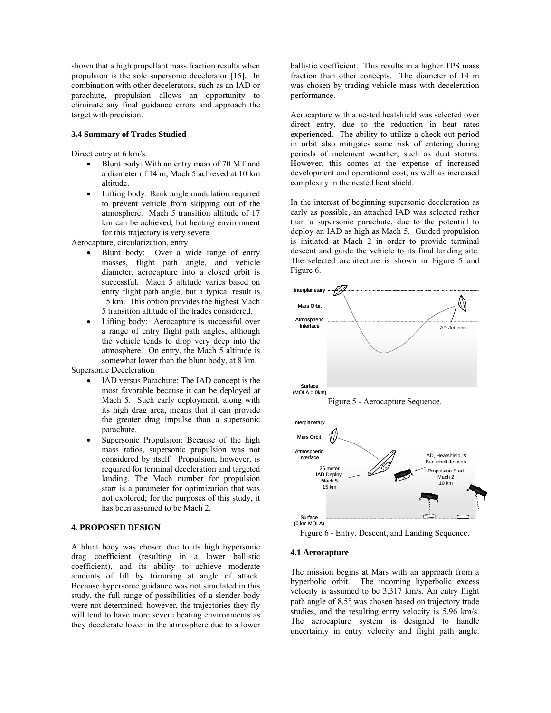shown that a high propellant mass fraction results when propulsion is the sole supersonic decelerator [15]. In combination with other decelerators, such as an IAD or parachute, propulsion allows an opportunity to eliminate any final guidance errors and approach the target with precision.

### **3.4 Summary of Trades Studied**

Direct entry at 6 km/s.

- Blunt body: With an entry mass of 70 MT and a diameter of 14 m, Mach 5 achieved at 10 km altitude.
- Lifting body: Bank angle modulation required to prevent vehicle from skipping out of the atmosphere. Mach 5 transition altitude of 17 km can be achieved, but heating environment for this trajectory is very severe.

Aerocapture, circularization, entry

- Blunt body: Over a wide range of entry masses, flight path angle, and vehicle diameter, aerocapture into a closed orbit is successful. Mach 5 altitude varies based on entry flight path angle, but a typical result is 15 km. This option provides the highest Mach 5 transition altitude of the trades considered.
- Lifting body: Aerocapture is successful over a range of entry flight path angles, although the vehicle tends to drop very deep into the atmosphere. On entry, the Mach 5 altitude is somewhat lower than the blunt body, at 8 km. Supersonic Deceleration
	- IAD versus Parachute: The IAD concept is the most favorable because it can be deployed at Mach 5. Such early deployment, along with its high drag area, means that it can provide the greater drag impulse than a supersonic parachute.
	- Supersonic Propulsion: Because of the high mass ratios, supersonic propulsion was not considered by itself. Propulsion, however, is required for terminal deceleration and targeted landing. The Mach number for propulsion start is a parameter for optimization that was not explored; for the purposes of this study, it has been assumed to be Mach 2.

## **4. PROPOSED DESIGN**

A blunt body was chosen due to its high hypersonic drag coefficient (resulting in a lower ballistic coefficient), and its ability to achieve moderate amounts of lift by trimming at angle of attack. Because hypersonic guidance was not simulated in this study, the full range of possibilities of a slender body were not determined; however, the trajectories they fly will tend to have more severe heating environments as they decelerate lower in the atmosphere due to a lower ballistic coefficient. This results in a higher TPS mass fraction than other concepts. The diameter of 14 m was chosen by trading vehicle mass with deceleration performance.

Aerocapture with a nested heatshield was selected over direct entry, due to the reduction in heat rates experienced. The ability to utilize a check-out period in orbit also mitigates some risk of entering during periods of inclement weather, such as dust storms. However, this comes at the expense of increased development and operational cost, as well as increased complexity in the nested heat shield.

In the interest of beginning supersonic deceleration as early as possible, an attached IAD was selected rather than a supersonic parachute, due to the potential to deploy an IAD as high as Mach 5. Guided propulsion is initiated at Mach 2 in order to provide terminal descent and guide the vehicle to its final landing site. The selected architecture is shown in Figure 5 and Figure 6.



Figure 6 - Entry, Descent, and Landing Sequence.

## **4.1 Aerocapture**

The mission begins at Mars with an approach from a hyperbolic orbit. The incoming hyperbolic excess velocity is assumed to be 3.317 km/s. An entry flight path angle of 8.5° was chosen based on trajectory trade studies, and the resulting entry velocity is 5.96 km/s. The aerocapture system is designed to handle uncertainty in entry velocity and flight path angle.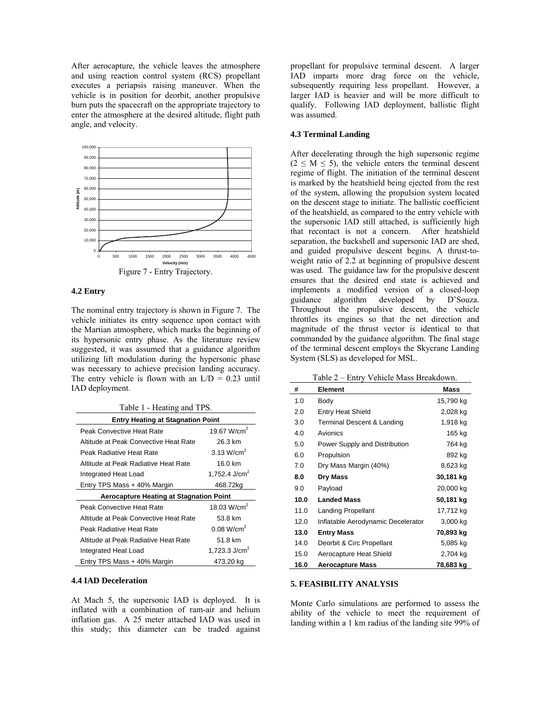After aerocapture, the vehicle leaves the atmosphere and using reaction control system (RCS) propellant executes a periapsis raising maneuver. When the vehicle is in position for deorbit, another propulsive burn puts the spacecraft on the appropriate trajectory to enter the atmosphere at the desired altitude, flight path angle, and velocity.



### **4.2 Entry**

The nominal entry trajectory is shown in Figure 7. The vehicle initiates its entry sequence upon contact with the Martian atmosphere, which marks the beginning of its hypersonic entry phase. As the literature review suggested, it was assumed that a guidance algorithm utilizing lift modulation during the hypersonic phase was necessary to achieve precision landing accuracy. The entry vehicle is flown with an  $L/D = 0.23$  until IAD deployment.

Table 1 - Heating and TPS.

| <b>Entry Heating at Stagnation Point</b>       |                           |  |
|------------------------------------------------|---------------------------|--|
| Peak Convective Heat Rate                      | 19.67 W/cm <sup>2</sup>   |  |
| Altitude at Peak Convective Heat Rate          | 26.3 km                   |  |
| Peak Radiative Heat Rate                       | 3.13 W/cm <sup>2</sup>    |  |
| Altitude at Peak Radiative Heat Rate           | 16.0 km                   |  |
| Integrated Heat Load                           | 1.752.4 J/cm <sup>2</sup> |  |
| Entry TPS Mass + 40% Margin                    | 468.72kg                  |  |
| <b>Aerocapture Heating at Stagnation Point</b> |                           |  |
|                                                |                           |  |
| Peak Convective Heat Rate                      | 18.03 W/cm <sup>2</sup>   |  |
| Altitude at Peak Convective Heat Rate          | 53.8 km                   |  |
| Peak Radiative Heat Rate                       | 0.08 W/cm <sup>2</sup>    |  |
| Altitude at Peak Radiative Heat Rate           | 51.8 km                   |  |
| Integrated Heat Load                           | 1,723.3 $J/cm2$           |  |

#### **4.4 IAD Deceleration**

At Mach 5, the supersonic IAD is deployed. It is inflated with a combination of ram-air and helium inflation gas. A 25 meter attached IAD was used in this study; this diameter can be traded against propellant for propulsive terminal descent. A larger IAD imparts more drag force on the vehicle, subsequently requiring less propellant. However, a larger IAD is heavier and will be more difficult to qualify. Following IAD deployment, ballistic flight was assumed.

### **4.3 Terminal Landing**

After decelerating through the high supersonic regime  $(2 \le M \le 5)$ , the vehicle enters the terminal descent regime of flight. The initiation of the terminal descent is marked by the heatshield being ejected from the rest of the system, allowing the propulsion system located on the descent stage to initiate. The ballistic coefficient of the heatshield, as compared to the entry vehicle with the supersonic IAD still attached, is sufficiently high that recontact is not a concern. After heatshield separation, the backshell and supersonic IAD are shed, and guided propulsive descent begins. A thrust-toweight ratio of 2.2 at beginning of propulsive descent was used. The guidance law for the propulsive descent ensures that the desired end state is achieved and implements a modified version of a closed-loop guidance algorithm developed by D'Souza. Throughout the propulsive descent, the vehicle throttles its engines so that the net direction and magnitude of the thrust vector is identical to that commanded by the guidance algorithm. The final stage of the terminal descent employs the Skycrane Landing System (SLS) as developed for MSL.

Table 2 – Entry Vehicle Mass Breakdown.

| #    | <b>Element</b>                     | Mass      |
|------|------------------------------------|-----------|
| 1.0  | Body                               | 15,790 kg |
| 2.0  | <b>Entry Heat Shield</b>           | 2,028 kg  |
| 3.0  | Terminal Descent & Landing         | 1,918 kg  |
| 4.0  | Avionics                           | 165 kg    |
| 5.0  | Power Supply and Distribution      | 764 kg    |
| 6.0  | Propulsion                         | 892 kg    |
| 7.0  | Dry Mass Margin (40%)              | 8,623 kg  |
| 8.0  | <b>Dry Mass</b>                    | 30,181 kg |
| 9.0  | Payload                            | 20,000 kg |
| 10.0 | <b>Landed Mass</b>                 | 50,181 kg |
| 11.0 | <b>Landing Propellant</b>          | 17,712 kg |
| 12.0 | Inflatable Aerodynamic Decelerator | 3,000 kg  |
| 13.0 | <b>Entry Mass</b>                  | 70,893 kg |
| 14.0 | Deorbit & Circ Propellant          | 5,085 kg  |
| 15.0 | Aerocapture Heat Shield            | 2,704 kg  |
| 16.0 | <b>Aerocapture Mass</b>            | 78,683 kg |

## **5. FEASIBILITY ANALYSIS**

Monte Carlo simulations are performed to assess the ability of the vehicle to meet the requirement of landing within a 1 km radius of the landing site 99% of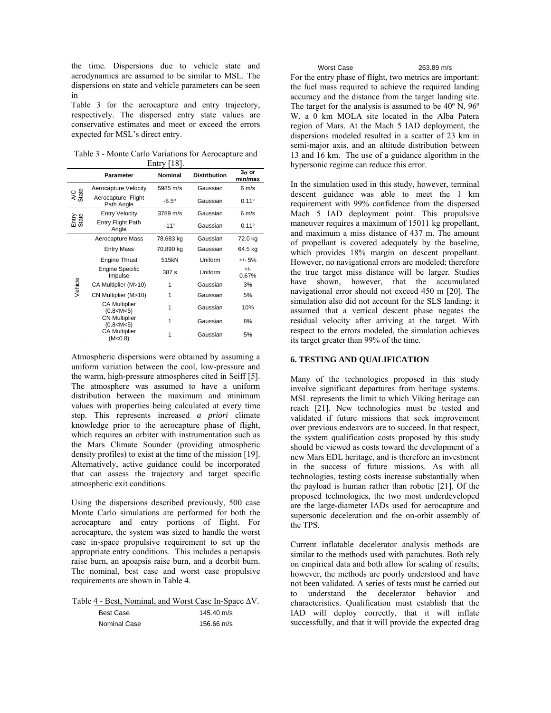the time. Dispersions due to vehicle state and aerodynamics are assumed to be similar to MSL. The dispersions on state and vehicle parameters can be seen in

Table 3 for the aerocapture and entry trajectory, respectively. The dispersed entry state values are conservative estimates and meet or exceed the errors expected for MSL's direct entry.

Table 3 - Monte Carlo Variations for Aerocapture and Entry [18].

|                | <b>Parameter</b>                      | <b>Nominal</b> | <b>Distribution</b> | $3\sigma$ or<br>min/max |
|----------------|---------------------------------------|----------------|---------------------|-------------------------|
|                | Aerocapture Velocity                  | 5985 m/s       | Gaussian            | $6 \text{ m/s}$         |
| AC<br>State    | Aerocapture Flight<br>Path Angle      | $-8.5^\circ$   | Gaussian            | $0.11^{\circ}$          |
|                | <b>Entry Velocity</b>                 | 3789 m/s       | Gaussian            | $6 \text{ m/s}$         |
| Entry<br>State | Entry Flight Path<br>Angle            | $-11^\circ$    | Gaussian            | $0.11^{\circ}$          |
| Vehicle        | Aerocapture Mass                      | 78,683 kg      | Gaussian            | 72.0 kg                 |
|                | <b>Entry Mass</b>                     | 70,890 kg      | Gaussian            | 64.5 kg                 |
|                | <b>Engine Thrust</b>                  | 515kN          | Uniform             | $+/- 5%$                |
|                | <b>Engine Specific</b><br>Impulse     | 387 s          | Uniform             | $+/-$<br>0.67%          |
|                | CA Multiplier (M>10)                  | 1              | Gaussian            | 3%                      |
|                | CN Multiplier (M>10)                  | 1              | Gaussian            | 5%                      |
|                | <b>CA Multiplier</b><br>(0.8 < M < 5) | 1              | Gaussian            | 10%                     |
|                | <b>CN Multiplier</b><br>(0.8 < M < 5) | 1              | Gaussian            | 8%                      |
|                | <b>CA Multiplier</b><br>(M<0.8)       |                | Gaussian            | 5%                      |

Atmospheric dispersions were obtained by assuming a uniform variation between the cool, low-pressure and the warm, high-pressure atmospheres cited in Seiff [5]. The atmosphere was assumed to have a uniform distribution between the maximum and minimum values with properties being calculated at every time step. This represents increased *a priori* climate knowledge prior to the aerocapture phase of flight, which requires an orbiter with instrumentation such as the Mars Climate Sounder (providing atmospheric density profiles) to exist at the time of the mission [19]. Alternatively, active guidance could be incorporated that can assess the trajectory and target specific atmospheric exit conditions.

Using the dispersions described previously, 500 case Monte Carlo simulations are performed for both the aerocapture and entry portions of flight. For aerocapture, the system was sized to handle the worst case in-space propulsive requirement to set up the appropriate entry conditions. This includes a periapsis raise burn, an apoapsis raise burn, and a deorbit burn. The nominal, best case and worst case propulsive requirements are shown in Table 4.

Table 4 - Best, Nominal, and Worst Case In-Space ∆V.

| Best Case    | 145.40 m/s   |
|--------------|--------------|
| Nominal Case | $156.66$ m/s |

| <b>Worst Case</b> |                           |  |
|-------------------|---------------------------|--|
|                   | بنائك كالمستحدث والمستحدث |  |

263.89 m/s

For the entry phase of flight, two metrics are important: the fuel mass required to achieve the required landing accuracy and the distance from the target landing site. The target for the analysis is assumed to be 40º N, 96º W, a 0 km MOLA site located in the Alba Patera region of Mars. At the Mach 5 IAD deployment, the dispersions modeled resulted in a scatter of 23 km in semi-major axis, and an altitude distribution between 13 and 16 km. The use of a guidance algorithm in the hypersonic regime can reduce this error.

In the simulation used in this study, however, terminal descent guidance was able to meet the 1 km requirement with 99% confidence from the dispersed Mach 5 IAD deployment point. This propulsive maneuver requires a maximum of 15011 kg propellant, and maximum a miss distance of 437 m. The amount of propellant is covered adequately by the baseline, which provides 18% margin on descent propellant. However, no navigational errors are modeled; therefore the true target miss distance will be larger. Studies have shown, however, that the accumulated navigational error should not exceed 450 m [20]. The simulation also did not account for the SLS landing; it assumed that a vertical descent phase negates the residual velocity after arriving at the target. With respect to the errors modeled, the simulation achieves its target greater than 99% of the time.

### **6. TESTING AND QUALIFICATION**

Many of the technologies proposed in this study involve significant departures from heritage systems. MSL represents the limit to which Viking heritage can reach [21]. New technologies must be tested and validated if future missions that seek improvement over previous endeavors are to succeed. In that respect, the system qualification costs proposed by this study should be viewed as costs toward the development of a new Mars EDL heritage, and is therefore an investment in the success of future missions. As with all technologies, testing costs increase substantially when the payload is human rather than robotic [21]. Of the proposed technologies, the two most underdeveloped are the large-diameter IADs used for aerocapture and supersonic deceleration and the on-orbit assembly of the TPS.

Current inflatable decelerator analysis methods are similar to the methods used with parachutes. Both rely on empirical data and both allow for scaling of results; however, the methods are poorly understood and have not been validated. A series of tests must be carried out to understand the decelerator behavior and characteristics. Qualification must establish that the IAD will deploy correctly, that it will inflate successfully, and that it will provide the expected drag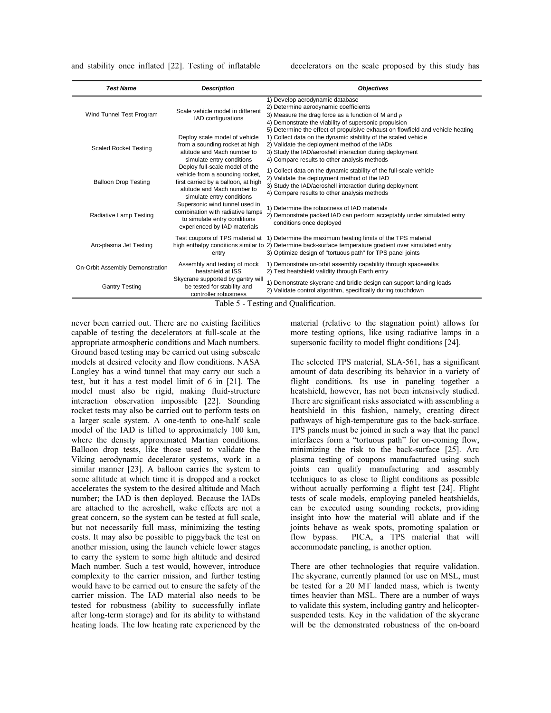and stability once inflated [22]. Testing of inflatable decelerators on the scale proposed by this study has

| <b>Test Name</b>                | <b>Description</b>                                                                                                                                                   | <b>Objectives</b>                                                                                                                                                                                                                                                              |
|---------------------------------|----------------------------------------------------------------------------------------------------------------------------------------------------------------------|--------------------------------------------------------------------------------------------------------------------------------------------------------------------------------------------------------------------------------------------------------------------------------|
| Wind Tunnel Test Program        | Scale vehicle model in different<br>IAD configurations                                                                                                               | 1) Develop aerodynamic database<br>2) Determine aerodynamic coefficients<br>3) Measure the drag force as a function of M and $\rho$<br>4) Demonstrate the viability of supersonic propulsion<br>5) Determine the effect of propulsive exhaust on flowfield and vehicle heating |
| <b>Scaled Rocket Testing</b>    | Deploy scale model of vehicle<br>from a sounding rocket at high<br>altitude and Mach number to<br>simulate entry conditions                                          | 1) Collect data on the dynamic stability of the scaled vehicle<br>2) Validate the deployment method of the IADs<br>3) Study the IAD/aeroshell interaction during deployment<br>4) Compare results to other analysis methods                                                    |
| <b>Balloon Drop Testing</b>     | Deploy full-scale model of the<br>vehicle from a sounding rocket,<br>first carried by a balloon, at high<br>altitude and Mach number to<br>simulate entry conditions | 1) Collect data on the dynamic stability of the full-scale vehicle<br>2) Validate the deployment method of the IAD<br>3) Study the IAD/aeroshell interaction during deployment<br>4) Compare results to other analysis methods                                                 |
| Radiative Lamp Testing          | Supersonic wind tunnel used in<br>combination with radiative lamps<br>to simulate entry conditions<br>experienced by IAD materials                                   | 1) Determine the robustness of IAD materials<br>2) Demonstrate packed IAD can perform acceptably under simulated entry<br>conditions once deployed                                                                                                                             |
| Arc-plasma Jet Testing          | Test coupons of TPS material at<br>entry                                                                                                                             | 1) Determine the maximum heating limits of the TPS material<br>high enthalpy conditions similar to 2) Determine back-surface temperature gradient over simulated entry<br>3) Optimize design of "tortuous path" for TPS panel joints                                           |
| On-Orbit Assembly Demonstration | Assembly and testing of mock<br>heatshield at ISS                                                                                                                    | 1) Demonstrate on-orbit assembly capability through spacewalks<br>2) Test heatshield validity through Earth entry                                                                                                                                                              |
| <b>Gantry Testing</b>           | Skycrane supported by gantry will<br>be tested for stability and<br>controller robustness                                                                            | 1) Demonstrate skycrane and bridle design can support landing loads<br>2) Validate control algorithm, specifically during touchdown<br>Table 5 Tecting and Qualification                                                                                                       |

Table 5 - Testing and Qualification.

never been carried out. There are no existing facilities capable of testing the decelerators at full-scale at the appropriate atmospheric conditions and Mach numbers. Ground based testing may be carried out using subscale models at desired velocity and flow conditions. NASA Langley has a wind tunnel that may carry out such a test, but it has a test model limit of 6 in [21]. The model must also be rigid, making fluid-structure interaction observation impossible [22]. Sounding rocket tests may also be carried out to perform tests on a larger scale system. A one-tenth to one-half scale model of the IAD is lifted to approximately 100 km, where the density approximated Martian conditions. Balloon drop tests, like those used to validate the Viking aerodynamic decelerator systems, work in a similar manner [23]. A balloon carries the system to some altitude at which time it is dropped and a rocket accelerates the system to the desired altitude and Mach number; the IAD is then deployed. Because the IADs are attached to the aeroshell, wake effects are not a great concern, so the system can be tested at full scale, but not necessarily full mass, minimizing the testing costs. It may also be possible to piggyback the test on another mission, using the launch vehicle lower stages to carry the system to some high altitude and desired Mach number. Such a test would, however, introduce complexity to the carrier mission, and further testing would have to be carried out to ensure the safety of the carrier mission. The IAD material also needs to be tested for robustness (ability to successfully inflate after long-term storage) and for its ability to withstand heating loads. The low heating rate experienced by the material (relative to the stagnation point) allows for more testing options, like using radiative lamps in a supersonic facility to model flight conditions [24].

The selected TPS material, SLA-561, has a significant amount of data describing its behavior in a variety of flight conditions. Its use in paneling together a heatshield, however, has not been intensively studied. There are significant risks associated with assembling a heatshield in this fashion, namely, creating direct pathways of high-temperature gas to the back-surface. TPS panels must be joined in such a way that the panel interfaces form a "tortuous path" for on-coming flow, minimizing the risk to the back-surface [25]. Arc plasma testing of coupons manufactured using such joints can qualify manufacturing and assembly techniques to as close to flight conditions as possible without actually performing a flight test [24]. Flight tests of scale models, employing paneled heatshields, can be executed using sounding rockets, providing insight into how the material will ablate and if the joints behave as weak spots, promoting spalation or flow bypass. PICA, a TPS material that will accommodate paneling, is another option.

There are other technologies that require validation. The skycrane, currently planned for use on MSL, must be tested for a 20 MT landed mass, which is twenty times heavier than MSL. There are a number of ways to validate this system, including gantry and helicoptersuspended tests. Key in the validation of the skycrane will be the demonstrated robustness of the on-board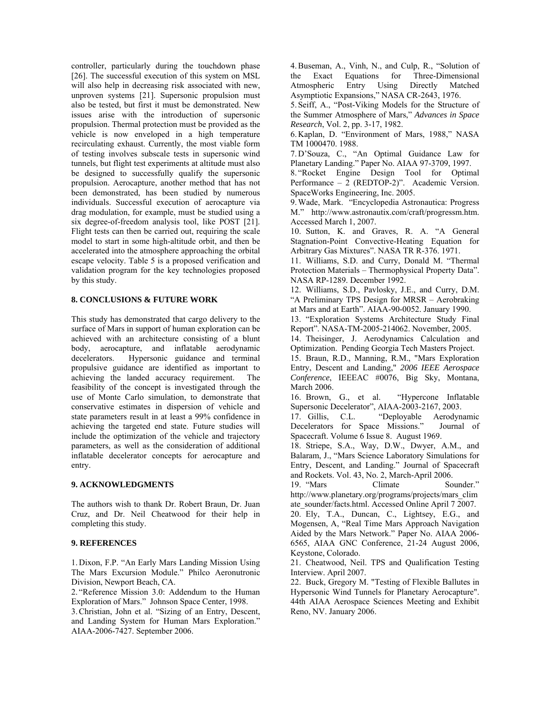controller, particularly during the touchdown phase [26]. The successful execution of this system on MSL will also help in decreasing risk associated with new, unproven systems [21]. Supersonic propulsion must also be tested, but first it must be demonstrated. New issues arise with the introduction of supersonic propulsion. Thermal protection must be provided as the vehicle is now enveloped in a high temperature recirculating exhaust. Currently, the most viable form of testing involves subscale tests in supersonic wind tunnels, but flight test experiments at altitude must also be designed to successfully qualify the supersonic propulsion. Aerocapture, another method that has not been demonstrated, has been studied by numerous individuals. Successful execution of aerocapture via drag modulation, for example, must be studied using a six degree-of-freedom analysis tool, like POST [21]. Flight tests can then be carried out, requiring the scale model to start in some high-altitude orbit, and then be accelerated into the atmosphere approaching the orbital escape velocity. Table 5 is a proposed verification and validation program for the key technologies proposed by this study.

## **8. CONCLUSIONS & FUTURE WORK**

This study has demonstrated that cargo delivery to the surface of Mars in support of human exploration can be achieved with an architecture consisting of a blunt body, aerocapture, and inflatable aerodynamic decelerators. Hypersonic guidance and terminal propulsive guidance are identified as important to achieving the landed accuracy requirement. The feasibility of the concept is investigated through the use of Monte Carlo simulation, to demonstrate that conservative estimates in dispersion of vehicle and state parameters result in at least a 99% confidence in achieving the targeted end state. Future studies will include the optimization of the vehicle and trajectory parameters, as well as the consideration of additional inflatable decelerator concepts for aerocapture and entry.

#### **9. ACKNOWLEDGMENTS**

The authors wish to thank Dr. Robert Braun, Dr. Juan Cruz, and Dr. Neil Cheatwood for their help in completing this study.

### **9. REFERENCES**

1. Dixon, F.P. "An Early Mars Landing Mission Using The Mars Excursion Module." Philco Aeronutronic Division, Newport Beach, CA.

2. "Reference Mission 3.0: Addendum to the Human Exploration of Mars." Johnson Space Center, 1998.

3.Christian, John et al. "Sizing of an Entry, Descent, and Landing System for Human Mars Exploration." AIAA-2006-7427. September 2006.

4.Buseman, A., Vinh, N., and Culp, R., "Solution of the Exact Equations for Three-Dimensional Atmospheric Entry Using Directly Matched Asymptiotic Expansions," NASA CR-2643, 1976.

5. Seiff, A., "Post-Viking Models for the Structure of the Summer Atmosphere of Mars," *Advances in Space Research*, Vol. 2, pp. 3-17, 1982.

6. Kaplan, D. "Environment of Mars, 1988," NASA TM 1000470. 1988.

7. D'Souza, C., "An Optimal Guidance Law for Planetary Landing." Paper No. AIAA 97-3709, 1997.

8. "Rocket Engine Design Tool for Optimal Performance – 2 (REDTOP-2)". Academic Version. SpaceWorks Engineering, Inc. 2005.

9.Wade, Mark. "Encyclopedia Astronautica: Progress M." http://www.astronautix.com/craft/progressm.htm. Accessed March 1, 2007.

10. Sutton, K. and Graves, R. A. "A General Stagnation-Point Convective-Heating Equation for Arbitrary Gas Mixtures". NASA TR R-376. 1971.

11. Williams, S.D. and Curry, Donald M. "Thermal Protection Materials – Thermophysical Property Data". NASA RP-1289. December 1992.

12. Williams, S.D., Pavlosky, J.E., and Curry, D.M. "A Preliminary TPS Design for MRSR – Aerobraking at Mars and at Earth". AIAA-90-0052. January 1990.

13. "Exploration Systems Architecture Study Final Report". NASA-TM-2005-214062. November, 2005.

14. Theisinger, J. Aerodynamics Calculation and Optimization. Pending Georgia Tech Masters Project.

15. Braun, R.D., Manning, R.M., "Mars Exploration Entry, Descent and Landing," *2006 IEEE Aerospace Conference*, IEEEAC #0076, Big Sky, Montana, March 2006.

16. Brown, G., et al. "Hypercone Inflatable Supersonic Decelerator", AIAA-2003-2167, 2003.

17. Gillis, C.L. "Deployable Aerodynamic Decelerators for Space Missions." Journal of Spacecraft. Volume 6 Issue 8. August 1969.

18. Striepe, S.A., Way, D.W., Dwyer, A.M., and Balaram, J., "Mars Science Laboratory Simulations for Entry, Descent, and Landing." Journal of Spacecraft and Rockets. Vol. 43, No. 2, March-April 2006.

19. "Mars Climate Sounder." http://www.planetary.org/programs/projects/mars\_clim ate\_sounder/facts.html. Accessed Online April 7 2007.

20. Ely, T.A., Duncan, C., Lightsey, E.G., and Mogensen, A, "Real Time Mars Approach Navigation Aided by the Mars Network." Paper No. AIAA 2006- 6565, AIAA GNC Conference, 21-24 August 2006, Keystone, Colorado.

21. Cheatwood, Neil. TPS and Qualification Testing Interview. April 2007.

22. Buck, Gregory M. "Testing of Flexible Ballutes in Hypersonic Wind Tunnels for Planetary Aerocapture". 44th AIAA Aerospace Sciences Meeting and Exhibit Reno, NV. January 2006.